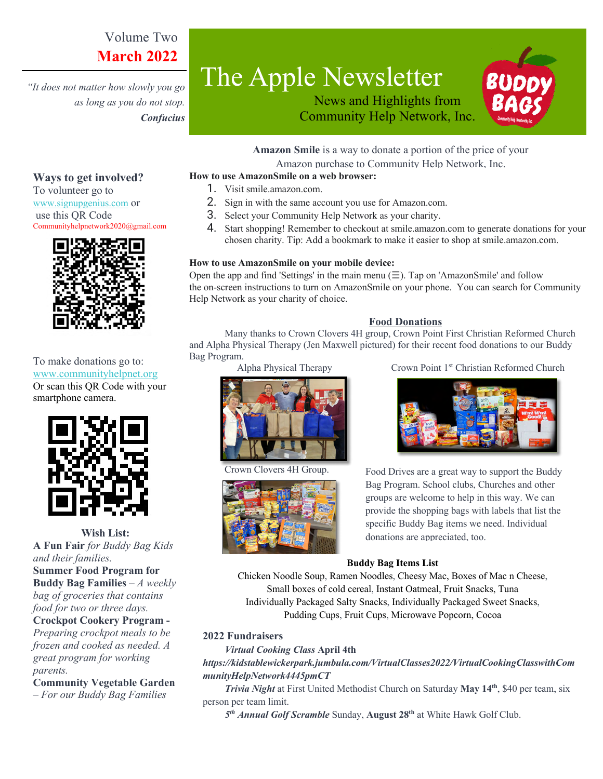# Volume Two **March 2022**

*"It does not matter how slowly you go as long as you do not stop. Confucius* 

**Ways to get involved?**  To volunteer go to www.signupgenius.com or use this QR Code

# The Apple Newsletter





**Amazon Smile** is a way to donate a portion of the price of your Amazon purchase to Community Help Network, Inc.

#### **How to use AmazonSmile on a web browser:**

- 1. Visit smile.amazon.com.
- 2. Sign in with the same account you use for Amazon.com.
- 3. Select your Community Help Network as your charity.
- 4. Start shopping! Remember to checkout at smile.amazon.com to generate donations for your chosen charity. Tip: Add a bookmark to make it easier to shop at smile.amazon.com.

#### **How to use AmazonSmile on your mobile device:**

Open the app and find 'Settings' in the main menu  $(\equiv)$ . Tap on 'AmazonSmile' and follow the on-screen instructions to turn on AmazonSmile on your phone. You can search for Community Help Network as your charity of choice.

#### **Food Donations**

Many thanks to Crown Clovers 4H group, Crown Point First Christian Reformed Church and Alpha Physical Therapy (Jen Maxwell pictured) for their recent food donations to our Buddy Bag Program.



Communityhelpnetwork2020@gmail.com

To make donations go to: www.communityhelpnet.org Or scan this QR Code with your smartphone camera.



**Wish List: A Fun Fair** *for Buddy Bag Kids and their families.* **Summer Food Program for Buddy Bag Families** – *A weekly bag of groceries that contains food for two or three days.* **Crockpot Cookery Program -**  *Preparing crockpot meals to be* 

*frozen and cooked as needed. A great program for working parents.*

**Community Vegetable Garden**

*– For our Buddy Bag Families*



lovers 4H Group.



Alpha Physical Therapy Crown Point 1<sup>st</sup> Christian Reformed Church



Food Drives are a great way to support the Buddy Bag Program. School clubs, Churches and other groups are welcome to help in this way. We can provide the shopping bags with labels that list the specific Buddy Bag items we need. Individual donations are appreciated, too.

#### **Buddy Bag Items List**

Chicken Noodle Soup, Ramen Noodles, Cheesy Mac, Boxes of Mac n Cheese, Small boxes of cold cereal, Instant Oatmeal, Fruit Snacks, Tuna Individually Packaged Salty Snacks, Individually Packaged Sweet Snacks, Pudding Cups, Fruit Cups, Microwave Popcorn, Cocoa

#### **2022 Fundraisers**

 *Virtual Cooking Class* **April 4th**

# *https://kidstablewickerpark.jumbula.com/VirtualClasses2022/VirtualCookingClasswithCom munityHelpNetwork4445pmCT*

 *Trivia Night* at First United Methodist Church on Saturday **May 14th**, \$40 per team, six person per team limit.

*5th Annual Golf Scramble* Sunday, **August 28th** at White Hawk Golf Club.